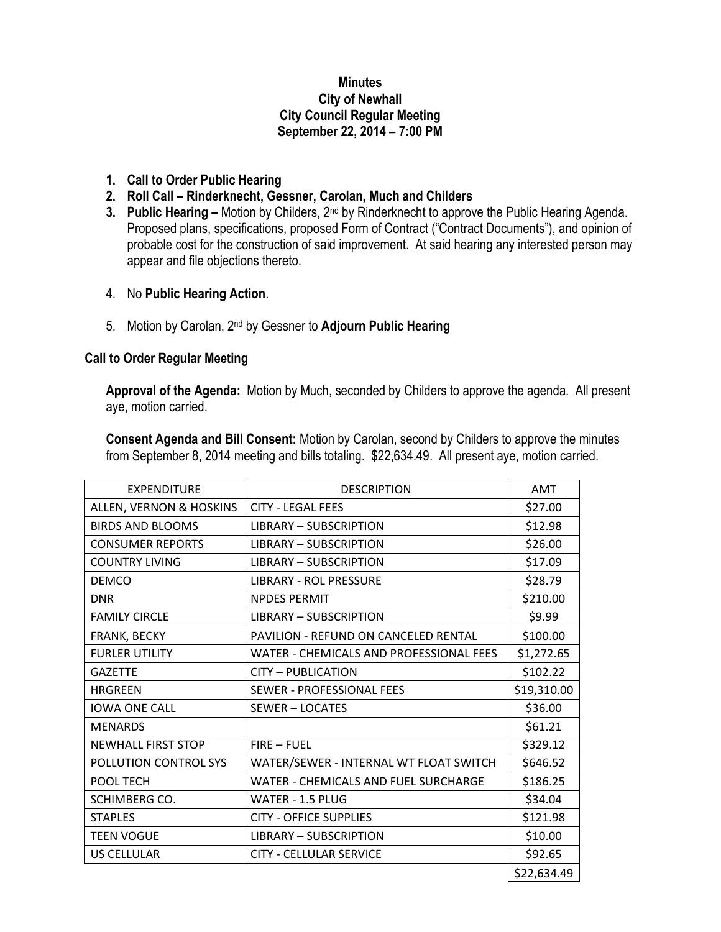## **Minutes City of Newhall City Council Regular Meeting September 22, 2014 – 7:00 PM**

- **1. Call to Order Public Hearing**
- **2. Roll Call – Rinderknecht, Gessner, Carolan, Much and Childers**
- **3. Public Hearing –** Motion by Childers, 2nd by Rinderknecht to approve the Public Hearing Agenda. Proposed plans, specifications, proposed Form of Contract ("Contract Documents"), and opinion of probable cost for the construction of said improvement. At said hearing any interested person may appear and file objections thereto.
- 4. No **Public Hearing Action**.
- 5. Motion by Carolan, 2nd by Gessner to **Adjourn Public Hearing**

## **Call to Order Regular Meeting**

**Approval of the Agenda:** Motion by Much, seconded by Childers to approve the agenda. All present aye, motion carried.

**Consent Agenda and Bill Consent:** Motion by Carolan, second by Childers to approve the minutes from September 8, 2014 meeting and bills totaling. \$22,634.49. All present aye, motion carried.

| <b>EXPENDITURE</b>        | <b>DESCRIPTION</b>                      | <b>AMT</b>  |
|---------------------------|-----------------------------------------|-------------|
| ALLEN, VERNON & HOSKINS   | <b>CITY - LEGAL FEES</b>                | \$27.00     |
| <b>BIRDS AND BLOOMS</b>   | <b>LIBRARY - SUBSCRIPTION</b>           | \$12.98     |
| <b>CONSUMER REPORTS</b>   | <b>LIBRARY - SUBSCRIPTION</b>           | \$26.00     |
| <b>COUNTRY LIVING</b>     | <b>LIBRARY - SUBSCRIPTION</b>           | \$17.09     |
| <b>DEMCO</b>              | <b>LIBRARY - ROL PRESSURE</b>           | \$28.79     |
| <b>DNR</b>                | <b>NPDES PERMIT</b>                     | \$210.00    |
| <b>FAMILY CIRCLE</b>      | <b>LIBRARY - SUBSCRIPTION</b>           | \$9.99      |
| FRANK, BECKY              | PAVILION - REFUND ON CANCELED RENTAL    | \$100.00    |
| <b>FURLER UTILITY</b>     | WATER - CHEMICALS AND PROFESSIONAL FEES | \$1,272.65  |
| <b>GAZETTE</b>            | <b>CITY - PUBLICATION</b>               | \$102.22    |
| <b>HRGREEN</b>            | SEWER - PROFESSIONAL FEES               | \$19,310.00 |
| <b>IOWA ONE CALL</b>      | <b>SEWER-LOCATES</b>                    | \$36.00     |
| <b>MENARDS</b>            |                                         | \$61.21     |
| <b>NEWHALL FIRST STOP</b> | <b>FIRE - FUEL</b>                      | \$329.12    |
| POLLUTION CONTROL SYS     | WATER/SEWER - INTERNAL WT FLOAT SWITCH  | \$646.52    |
| POOL TECH                 | WATER - CHEMICALS AND FUEL SURCHARGE    | \$186.25    |
| SCHIMBERG CO.             | WATER - 1.5 PLUG                        | \$34.04     |
| <b>STAPLES</b>            | <b>CITY - OFFICE SUPPLIES</b>           | \$121.98    |
| <b>TEEN VOGUE</b>         | <b>LIBRARY - SUBSCRIPTION</b>           | \$10.00     |
| <b>US CELLULAR</b>        | <b>CITY - CELLULAR SERVICE</b>          | \$92.65     |
|                           |                                         | \$22,634.49 |